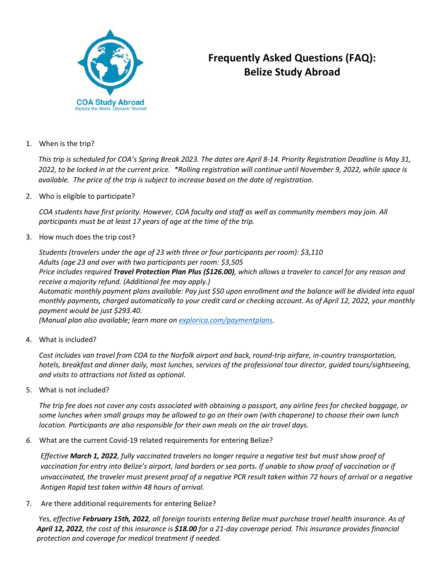

## **Frequently Asked Questions (FAQ): Belize Study Abroad**

1. When is the trip?

*This trip is scheduled for COA's Spring Break 2023. The dates are April 8-14. Priority Registration Deadline is May 31, 2022, to be locked in at the current price. \*Rolling registration will continue until November 9, 2022, while space is available. The price of the trip is subject to increase based on the date of registration.*

2. Who is eligible to participate?

*COA students have first priority. However, COA faculty and staff as well as community members may join. All participants must be at least 17 years of age at the time of the trip.*

3. How much does the trip cost?

*Students (travelers under the age of 23 with three or four participants per room): \$3,110 Adults (age 23 and over with two participants per room: \$3,505*

*Price includes required Travel Protection Plan Plus (\$126.00), which allows a traveler to cancel for any reason and receive a majority refund. (Additional fee may apply.)*

*Automatic monthly payment plans available: Pay just \$50 upon enrollment and the balance will be divided into equal monthly payments, charged automatically to your credit card or checking account. As of April 12, 2022, your monthly payment would be just \$293.40.* 

*(Manual plan also available; learn more on [explorica.com/paymentplans.](http://explorica.com/paymentplans)*

4. What is included?

*Cost includes van travel from COA to the Norfolk airport and back, round-trip airfare, in-country transportation, hotels, breakfast and dinner daily, most lunches, services of the professional tour director, guided tours/sightseeing, and visits to attractions not listed as optional.*

5. What is not included?

*The trip fee does not cover any costs associated with obtaining a passport, any airline fees for checked baggage, or some lunches when small groups may be allowed to go on their own (with chaperone) to choose their own lunch location. Participants are also responsible for their own meals on the air travel days.*

*6.* What are the current Covid-19 related requirements for entering Belize?

*Effective March 1, 2022, fully vaccinated travelers no longer require a negative test but must show proof of vaccination for entry into Belize's airport, land borders or sea ports. If unable to show proof of vaccination or if unvaccinated, the traveler must present proof of a negative PCR result taken within 72 hours of arrival or a negative Antigen Rapid test taken within 48 hours of arrival.* 

7. Are there additional requirements for entering Belize?

*Yes, effective February 15th, 2022, all foreign tourists entering Belize must purchase travel health insurance. As of April 12, 2022, the cost of this insurance is \$18.00 for a 21-day coverage period. This insurance provides financial protection and coverage for medical treatment if needed.*